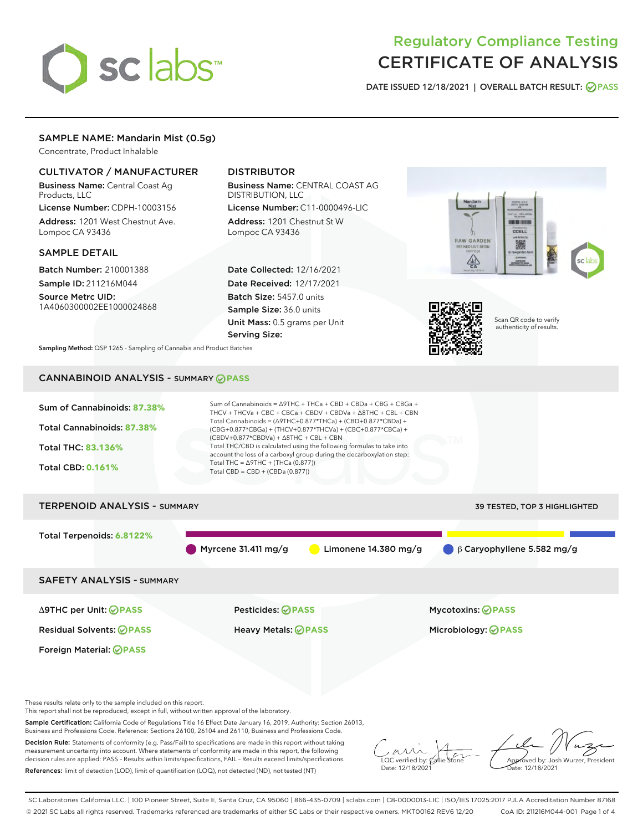# sclabs

# Regulatory Compliance Testing CERTIFICATE OF ANALYSIS

DATE ISSUED 12/18/2021 | OVERALL BATCH RESULT: @ PASS

# SAMPLE NAME: Mandarin Mist (0.5g)

Concentrate, Product Inhalable

# CULTIVATOR / MANUFACTURER

Business Name: Central Coast Ag Products, LLC

License Number: CDPH-10003156 Address: 1201 West Chestnut Ave. Lompoc CA 93436

# SAMPLE DETAIL

Batch Number: 210001388 Sample ID: 211216M044

Source Metrc UID: 1A4060300002EE1000024868

# DISTRIBUTOR

Business Name: CENTRAL COAST AG DISTRIBUTION, LLC

License Number: C11-0000496-LIC Address: 1201 Chestnut St W Lompoc CA 93436

Date Collected: 12/16/2021 Date Received: 12/17/2021 Batch Size: 5457.0 units Sample Size: 36.0 units Unit Mass: 0.5 grams per Unit Serving Size:





Scan QR code to verify authenticity of results.

Sampling Method: QSP 1265 - Sampling of Cannabis and Product Batches

# CANNABINOID ANALYSIS - SUMMARY **PASS**



Foreign Material: **PASS**

Δ9THC per Unit: **PASS** Pesticides: **PASS** Mycotoxins: **PASS**

Residual Solvents: **PASS** Heavy Metals: **PASS** Microbiology: **PASS**

These results relate only to the sample included on this report.

This report shall not be reproduced, except in full, without written approval of the laboratory.

Sample Certification: California Code of Regulations Title 16 Effect Date January 16, 2019. Authority: Section 26013, Business and Professions Code. Reference: Sections 26100, 26104 and 26110, Business and Professions Code.

Decision Rule: Statements of conformity (e.g. Pass/Fail) to specifications are made in this report without taking measurement uncertainty into account. Where statements of conformity are made in this report, the following decision rules are applied: PASS – Results within limits/specifications, FAIL – Results exceed limits/specifications. References: limit of detection (LOD), limit of quantification (LOQ), not detected (ND), not tested (NT)

 $\overline{\text{C}}$  verified by:  $\mathcal C$ Date: 12/18/2021

Approved by: Josh Wurzer, President ate: 12/18/2021

SC Laboratories California LLC. | 100 Pioneer Street, Suite E, Santa Cruz, CA 95060 | 866-435-0709 | sclabs.com | C8-0000013-LIC | ISO/IES 17025:2017 PJLA Accreditation Number 87168 © 2021 SC Labs all rights reserved. Trademarks referenced are trademarks of either SC Labs or their respective owners. MKT00162 REV6 12/20 CoA ID: 211216M044-001 Page 1 of 4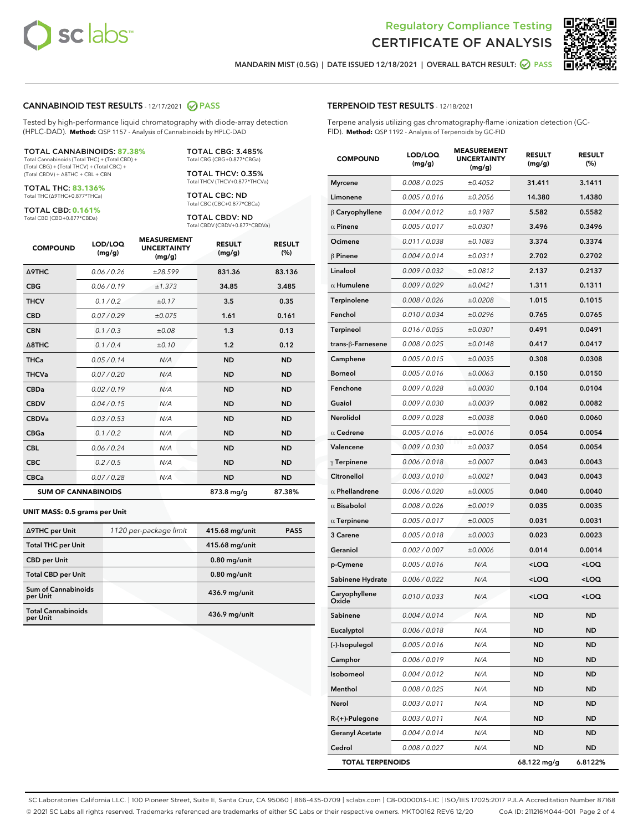



MANDARIN MIST (0.5G) | DATE ISSUED 12/18/2021 | OVERALL BATCH RESULT: 2 PASS

### CANNABINOID TEST RESULTS - 12/17/2021 2 PASS

Tested by high-performance liquid chromatography with diode-array detection (HPLC-DAD). **Method:** QSP 1157 - Analysis of Cannabinoids by HPLC-DAD

#### TOTAL CANNABINOIDS: **87.38%**

Total Cannabinoids (Total THC) + (Total CBD) + (Total CBG) + (Total THCV) + (Total CBC) + (Total CBDV) + ∆8THC + CBL + CBN

TOTAL THC: **83.136%** Total THC (∆9THC+0.877\*THCa)

TOTAL CBD: **0.161%**

Total CBD (CBD+0.877\*CBDa)

TOTAL CBG: 3.485% Total CBG (CBG+0.877\*CBGa)

TOTAL THCV: 0.35% Total THCV (THCV+0.877\*THCVa)

TOTAL CBC: ND Total CBC (CBC+0.877\*CBCa)

TOTAL CBDV: ND Total CBDV (CBDV+0.877\*CBDVa)

| <b>COMPOUND</b>            | LOD/LOQ<br>(mg/g) | <b>MEASUREMENT</b><br><b>UNCERTAINTY</b><br>(mg/g) | <b>RESULT</b><br>(mg/g) | <b>RESULT</b><br>(%) |
|----------------------------|-------------------|----------------------------------------------------|-------------------------|----------------------|
| <b>A9THC</b>               | 0.06/0.26         | ±28.599                                            | 831.36                  | 83.136               |
| <b>CBG</b>                 | 0.06 / 0.19       | ±1.373                                             | 34.85                   | 3.485                |
| <b>THCV</b>                | 0.1 / 0.2         | ±0.17                                              | 3.5                     | 0.35                 |
| <b>CBD</b>                 | 0.07/0.29         | ±0.075                                             | 1.61                    | 0.161                |
| <b>CBN</b>                 | 0.1/0.3           | ±0.08                                              | 1.3                     | 0.13                 |
| $\triangle$ 8THC           | 0.1/0.4           | ±0.10                                              | 1.2                     | 0.12                 |
| <b>THCa</b>                | 0.05/0.14         | N/A                                                | <b>ND</b>               | <b>ND</b>            |
| <b>THCVa</b>               | 0.07/0.20         | N/A                                                | <b>ND</b>               | <b>ND</b>            |
| <b>CBDa</b>                | 0.02/0.19         | N/A                                                | <b>ND</b>               | <b>ND</b>            |
| <b>CBDV</b>                | 0.04 / 0.15       | N/A                                                | <b>ND</b>               | <b>ND</b>            |
| <b>CBDVa</b>               | 0.03/0.53         | N/A                                                | <b>ND</b>               | <b>ND</b>            |
| <b>CBGa</b>                | 0.1 / 0.2         | N/A                                                | <b>ND</b>               | <b>ND</b>            |
| <b>CBL</b>                 | 0.06 / 0.24       | N/A                                                | <b>ND</b>               | <b>ND</b>            |
| <b>CBC</b>                 | 0.2 / 0.5         | N/A                                                | <b>ND</b>               | <b>ND</b>            |
| <b>CBCa</b>                | 0.07/0.28         | N/A                                                | <b>ND</b>               | <b>ND</b>            |
| <b>SUM OF CANNABINOIDS</b> |                   |                                                    | 873.8 mg/g              | 87.38%               |

#### **UNIT MASS: 0.5 grams per Unit**

| ∆9THC per Unit                         | 1120 per-package limit | 415.68 mg/unit | <b>PASS</b> |
|----------------------------------------|------------------------|----------------|-------------|
| <b>Total THC per Unit</b>              |                        | 415.68 mg/unit |             |
| <b>CBD</b> per Unit                    |                        | $0.80$ mg/unit |             |
| <b>Total CBD per Unit</b>              |                        | $0.80$ mg/unit |             |
| <b>Sum of Cannabinoids</b><br>per Unit |                        | 436.9 mg/unit  |             |
| <b>Total Cannabinoids</b><br>per Unit  |                        | 436.9 mg/unit  |             |

| <b>COMPOUND</b>         | LOD/LOQ<br>(mg/g) | ASUREIVI<br><b>UNCERTAINTY</b><br>(mg/g) | <b>RESULT</b><br>(mg/g)                         | <b>RESULT</b><br>$(\%)$ |
|-------------------------|-------------------|------------------------------------------|-------------------------------------------------|-------------------------|
| <b>Myrcene</b>          | 0.008 / 0.025     | ±0.4052                                  | 31.411                                          | 3.1411                  |
| Limonene                | 0.005 / 0.016     | ±0.2056                                  | 14.380                                          | 1.4380                  |
| $\beta$ Caryophyllene   | 0.004 / 0.012     | ±0.1987                                  | 5.582                                           | 0.5582                  |
| $\alpha$ Pinene         | 0.005 / 0.017     | ±0.0301                                  | 3.496                                           | 0.3496                  |
| Ocimene                 | 0.011 / 0.038     | ±0.1083                                  | 3.374                                           | 0.3374                  |
| $\beta$ Pinene          | 0.004 / 0.014     | ±0.0311                                  | 2.702                                           | 0.2702                  |
| Linalool                | 0.009/0.032       | ±0.0812                                  | 2.137                                           | 0.2137                  |
| $\alpha$ Humulene       | 0.009 / 0.029     | ±0.0421                                  | 1.311                                           | 0.1311                  |
| Terpinolene             | 0.008 / 0.026     | ±0.0208                                  | 1.015                                           | 0.1015                  |
| Fenchol                 | 0.010 / 0.034     | ±0.0296                                  | 0.765                                           | 0.0765                  |
| Terpineol               | 0.016 / 0.055     | ±0.0301                                  | 0.491                                           | 0.0491                  |
| trans-β-Farnesene       | 0.008 / 0.025     | ±0.0148                                  | 0.417                                           | 0.0417                  |
| Camphene                | 0.005 / 0.015     | ±0.0035                                  | 0.308                                           | 0.0308                  |
| <b>Borneol</b>          | 0.005 / 0.016     | ±0.0063                                  | 0.150                                           | 0.0150                  |
| Fenchone                | 0.009 / 0.028     | ±0.0030                                  | 0.104                                           | 0.0104                  |
| Guaiol                  | 0.009 / 0.030     | ±0.0039                                  | 0.082                                           | 0.0082                  |
| <b>Nerolidol</b>        | 0.009 / 0.028     | ±0.0038                                  | 0.060                                           | 0.0060                  |
| $\alpha$ Cedrene        | 0.005 / 0.016     | ±0.0016                                  | 0.054                                           | 0.0054                  |
| Valencene               | 0.009 / 0.030     | ±0.0037                                  | 0.054                                           | 0.0054                  |
| $\gamma$ Terpinene      | 0.006 / 0.018     | ±0.0007                                  | 0.043                                           | 0.0043                  |
| Citronellol             | 0.003 / 0.010     | ±0.0021                                  | 0.043                                           | 0.0043                  |
| $\alpha$ Phellandrene   | 0.006 / 0.020     | ±0.0005                                  | 0.040                                           | 0.0040                  |
| $\alpha$ Bisabolol      | 0.008 / 0.026     | ±0.0019                                  | 0.035                                           | 0.0035                  |
| $\alpha$ Terpinene      | 0.005 / 0.017     | ±0.0005                                  | 0.031                                           | 0.0031                  |
| 3 Carene                | 0.005 / 0.018     | ±0.0003                                  | 0.023                                           | 0.0023                  |
| Geraniol                | 0.002 / 0.007     | ±0.0006                                  | 0.014                                           | 0.0014                  |
| p-Cymene                | 0.005 / 0.016     | N/A                                      | <loq< th=""><th><loq< th=""></loq<></th></loq<> | <loq< th=""></loq<>     |
| Sabinene Hydrate        | 0.006 / 0.022     | N/A                                      | <loq< th=""><th><loq< th=""></loq<></th></loq<> | <loq< th=""></loq<>     |
| Caryophyllene<br>Oxide  | 0.010 / 0.033     | N/A                                      | <loq< th=""><th><loq< th=""></loq<></th></loq<> | <loq< th=""></loq<>     |
| Sabinene                | 0.004 / 0.014     | N/A                                      | <b>ND</b>                                       | ND                      |
| Eucalyptol              | 0.006 / 0.018     | N/A                                      | ND                                              | ND                      |
| (-)-Isopulegol          | 0.005 / 0.016     | N/A                                      | ND                                              | ND                      |
| Camphor                 | 0.006 / 0.019     | N/A                                      | ND                                              | ND                      |
| Isoborneol              | 0.004 / 0.012     | N/A                                      | ND                                              | ND                      |
| Menthol                 | 0.008 / 0.025     | N/A                                      | ND                                              | ND                      |
| Nerol                   | 0.003 / 0.011     | N/A                                      | ND                                              | ND                      |
| $R-(+)$ -Pulegone       | 0.003 / 0.011     | N/A                                      | ND                                              | ND                      |
| <b>Geranyl Acetate</b>  | 0.004 / 0.014     | N/A                                      | ND                                              | ND                      |
| Cedrol                  | 0.008 / 0.027     | N/A                                      | <b>ND</b>                                       | ND                      |
| <b>TOTAL TERPENOIDS</b> |                   |                                          | 68.122 mg/g                                     | 6.8122%                 |

SC Laboratories California LLC. | 100 Pioneer Street, Suite E, Santa Cruz, CA 95060 | 866-435-0709 | sclabs.com | C8-0000013-LIC | ISO/IES 17025:2017 PJLA Accreditation Number 87168 © 2021 SC Labs all rights reserved. Trademarks referenced are trademarks of either SC Labs or their respective owners. MKT00162 REV6 12/20 CoA ID: 211216M044-001 Page 2 of 4

# TERPENOID TEST RESULTS - 12/18/2021

Terpene analysis utilizing gas chromatography-flame ionization detection (GC-FID). **Method:** QSP 1192 - Analysis of Terpenoids by GC-FID

MEACUREMENT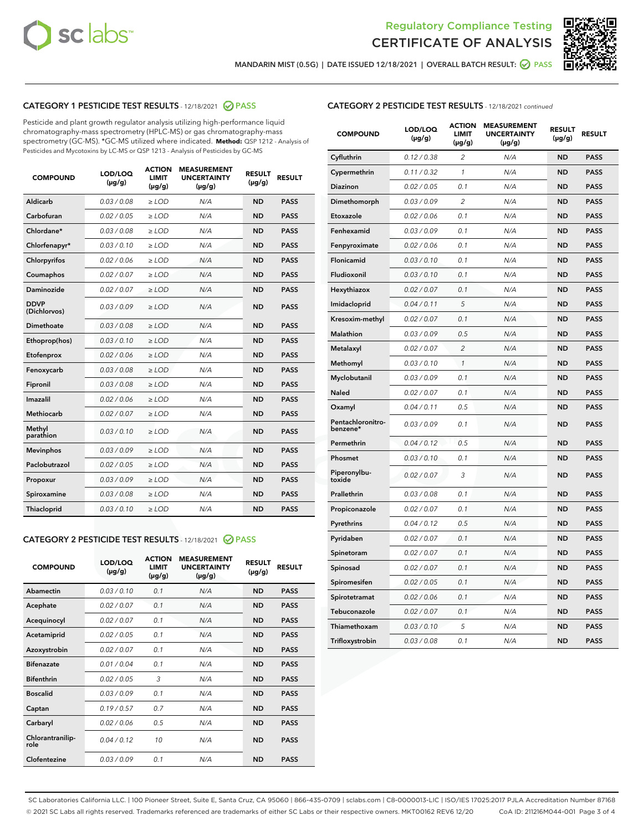



MANDARIN MIST (0.5G) | DATE ISSUED 12/18/2021 | OVERALL BATCH RESULT:  $\bigcirc$  PASS

# CATEGORY 1 PESTICIDE TEST RESULTS - 12/18/2021 @ PASS

Pesticide and plant growth regulator analysis utilizing high-performance liquid chromatography-mass spectrometry (HPLC-MS) or gas chromatography-mass spectrometry (GC-MS). \*GC-MS utilized where indicated. **Method:** QSP 1212 - Analysis of Pesticides and Mycotoxins by LC-MS or QSP 1213 - Analysis of Pesticides by GC-MS

| <b>COMPOUND</b>             | LOD/LOQ<br>$(\mu g/g)$ | <b>ACTION</b><br><b>LIMIT</b><br>$(\mu g/g)$ | <b>MEASUREMENT</b><br><b>UNCERTAINTY</b><br>$(\mu g/g)$ | <b>RESULT</b><br>$(\mu g/g)$ | <b>RESULT</b> |
|-----------------------------|------------------------|----------------------------------------------|---------------------------------------------------------|------------------------------|---------------|
| Aldicarb                    | 0.03 / 0.08            | $\ge$ LOD                                    | N/A                                                     | <b>ND</b>                    | <b>PASS</b>   |
| Carbofuran                  | 0.02/0.05              | $>$ LOD                                      | N/A                                                     | <b>ND</b>                    | <b>PASS</b>   |
| Chlordane*                  | 0.03 / 0.08            | $\ge$ LOD                                    | N/A                                                     | <b>ND</b>                    | <b>PASS</b>   |
| Chlorfenapyr*               | 0.03/0.10              | $\ge$ LOD                                    | N/A                                                     | <b>ND</b>                    | <b>PASS</b>   |
| Chlorpyrifos                | 0.02 / 0.06            | $\ge$ LOD                                    | N/A                                                     | <b>ND</b>                    | <b>PASS</b>   |
| Coumaphos                   | 0.02 / 0.07            | $\ge$ LOD                                    | N/A                                                     | <b>ND</b>                    | <b>PASS</b>   |
| Daminozide                  | 0.02/0.07              | $>$ LOD                                      | N/A                                                     | <b>ND</b>                    | <b>PASS</b>   |
| <b>DDVP</b><br>(Dichlorvos) | 0.03/0.09              | $\ge$ LOD                                    | N/A                                                     | <b>ND</b>                    | <b>PASS</b>   |
| Dimethoate                  | 0.03 / 0.08            | $\ge$ LOD                                    | N/A                                                     | <b>ND</b>                    | <b>PASS</b>   |
| Ethoprop(hos)               | 0.03/0.10              | $>$ LOD                                      | N/A                                                     | <b>ND</b>                    | <b>PASS</b>   |
| Etofenprox                  | 0.02 / 0.06            | $\ge$ LOD                                    | N/A                                                     | <b>ND</b>                    | <b>PASS</b>   |
| Fenoxycarb                  | 0.03 / 0.08            | $\ge$ LOD                                    | N/A                                                     | <b>ND</b>                    | <b>PASS</b>   |
| Fipronil                    | 0.03/0.08              | $\ge$ LOD                                    | N/A                                                     | <b>ND</b>                    | <b>PASS</b>   |
| Imazalil                    | 0.02 / 0.06            | $\ge$ LOD                                    | N/A                                                     | <b>ND</b>                    | <b>PASS</b>   |
| <b>Methiocarb</b>           | 0.02 / 0.07            | $\ge$ LOD                                    | N/A                                                     | <b>ND</b>                    | <b>PASS</b>   |
| Methyl<br>parathion         | 0.03/0.10              | $\ge$ LOD                                    | N/A                                                     | <b>ND</b>                    | <b>PASS</b>   |
| <b>Mevinphos</b>            | 0.03/0.09              | $>$ LOD                                      | N/A                                                     | <b>ND</b>                    | <b>PASS</b>   |
| Paclobutrazol               | 0.02 / 0.05            | $\ge$ LOD                                    | N/A                                                     | <b>ND</b>                    | <b>PASS</b>   |
| Propoxur                    | 0.03/0.09              | $\ge$ LOD                                    | N/A                                                     | <b>ND</b>                    | <b>PASS</b>   |
| Spiroxamine                 | 0.03 / 0.08            | $\ge$ LOD                                    | N/A                                                     | <b>ND</b>                    | <b>PASS</b>   |
| Thiacloprid                 | 0.03/0.10              | $\ge$ LOD                                    | N/A                                                     | <b>ND</b>                    | <b>PASS</b>   |

### CATEGORY 2 PESTICIDE TEST RESULTS - 12/18/2021 @ PASS

| <b>COMPOUND</b>          | LOD/LOQ<br>$(\mu g/g)$ | <b>ACTION</b><br><b>LIMIT</b><br>$(\mu g/g)$ | <b>MEASUREMENT</b><br><b>UNCERTAINTY</b><br>$(\mu g/g)$ | <b>RESULT</b><br>$(\mu g/g)$ | <b>RESULT</b> |
|--------------------------|------------------------|----------------------------------------------|---------------------------------------------------------|------------------------------|---------------|
| Abamectin                | 0.03/0.10              | 0.1                                          | N/A                                                     | <b>ND</b>                    | <b>PASS</b>   |
| Acephate                 | 0.02/0.07              | 0.1                                          | N/A                                                     | <b>ND</b>                    | <b>PASS</b>   |
| Acequinocyl              | 0.02/0.07              | 0.1                                          | N/A                                                     | <b>ND</b>                    | <b>PASS</b>   |
| Acetamiprid              | 0.02/0.05              | 0.1                                          | N/A                                                     | <b>ND</b>                    | <b>PASS</b>   |
| Azoxystrobin             | 0 02 / 0 07            | 0.1                                          | N/A                                                     | <b>ND</b>                    | <b>PASS</b>   |
| <b>Bifenazate</b>        | 0.01/0.04              | 0.1                                          | N/A                                                     | <b>ND</b>                    | <b>PASS</b>   |
| <b>Bifenthrin</b>        | 0.02 / 0.05            | 3                                            | N/A                                                     | <b>ND</b>                    | <b>PASS</b>   |
| <b>Boscalid</b>          | 0.03/0.09              | 0.1                                          | N/A                                                     | <b>ND</b>                    | <b>PASS</b>   |
| Captan                   | 0.19/0.57              | 0.7                                          | N/A                                                     | <b>ND</b>                    | <b>PASS</b>   |
| Carbaryl                 | 0.02/0.06              | 0.5                                          | N/A                                                     | <b>ND</b>                    | <b>PASS</b>   |
| Chlorantranilip-<br>role | 0.04/0.12              | 10                                           | N/A                                                     | <b>ND</b>                    | <b>PASS</b>   |
| Clofentezine             | 0.03/0.09              | 0.1                                          | N/A                                                     | <b>ND</b>                    | <b>PASS</b>   |

# CATEGORY 2 PESTICIDE TEST RESULTS - 12/18/2021 continued

| <b>COMPOUND</b>               | LOD/LOQ<br>(µg/g) | <b>ACTION</b><br><b>LIMIT</b><br>$(\mu g/g)$ | <b>MEASUREMENT</b><br><b>UNCERTAINTY</b><br>$(\mu g/g)$ | <b>RESULT</b><br>$(\mu g/g)$ | <b>RESULT</b> |
|-------------------------------|-------------------|----------------------------------------------|---------------------------------------------------------|------------------------------|---------------|
| Cyfluthrin                    | 0.12 / 0.38       | $\overline{2}$                               | N/A                                                     | <b>ND</b>                    | <b>PASS</b>   |
| Cypermethrin                  | 0.11 / 0.32       | 1                                            | N/A                                                     | <b>ND</b>                    | <b>PASS</b>   |
| Diazinon                      | 0.02 / 0.05       | 0.1                                          | N/A                                                     | <b>ND</b>                    | <b>PASS</b>   |
| Dimethomorph                  | 0.03 / 0.09       | $\overline{2}$                               | N/A                                                     | <b>ND</b>                    | <b>PASS</b>   |
| Etoxazole                     | 0.02 / 0.06       | 0.1                                          | N/A                                                     | <b>ND</b>                    | <b>PASS</b>   |
| Fenhexamid                    | 0.03 / 0.09       | 0.1                                          | N/A                                                     | <b>ND</b>                    | PASS          |
| Fenpyroximate                 | 0.02 / 0.06       | 0.1                                          | N/A                                                     | <b>ND</b>                    | <b>PASS</b>   |
| Flonicamid                    | 0.03 / 0.10       | 0.1                                          | N/A                                                     | <b>ND</b>                    | <b>PASS</b>   |
| Fludioxonil                   | 0.03 / 0.10       | 0.1                                          | N/A                                                     | <b>ND</b>                    | <b>PASS</b>   |
| Hexythiazox                   | 0.02 / 0.07       | 0.1                                          | N/A                                                     | <b>ND</b>                    | <b>PASS</b>   |
| Imidacloprid                  | 0.04 / 0.11       | 5                                            | N/A                                                     | <b>ND</b>                    | <b>PASS</b>   |
| Kresoxim-methyl               | 0.02 / 0.07       | 0.1                                          | N/A                                                     | <b>ND</b>                    | <b>PASS</b>   |
| <b>Malathion</b>              | 0.03 / 0.09       | 0.5                                          | N/A                                                     | <b>ND</b>                    | <b>PASS</b>   |
| Metalaxyl                     | 0.02 / 0.07       | $\overline{c}$                               | N/A                                                     | <b>ND</b>                    | <b>PASS</b>   |
| Methomyl                      | 0.03 / 0.10       | $\mathbf{1}$                                 | N/A                                                     | <b>ND</b>                    | <b>PASS</b>   |
| Myclobutanil                  | 0.03 / 0.09       | 0.1                                          | N/A                                                     | <b>ND</b>                    | <b>PASS</b>   |
| Naled                         | 0.02 / 0.07       | 0.1                                          | N/A                                                     | <b>ND</b>                    | <b>PASS</b>   |
| Oxamyl                        | 0.04 / 0.11       | 0.5                                          | N/A                                                     | <b>ND</b>                    | <b>PASS</b>   |
| Pentachloronitro-<br>benzene* | 0.03 / 0.09       | 0.1                                          | N/A                                                     | <b>ND</b>                    | <b>PASS</b>   |
| Permethrin                    | 0.04 / 0.12       | 0.5                                          | N/A                                                     | <b>ND</b>                    | <b>PASS</b>   |
| Phosmet                       | 0.03 / 0.10       | 0.1                                          | N/A                                                     | <b>ND</b>                    | <b>PASS</b>   |
| Piperonylbu-<br>toxide        | 0.02 / 0.07       | 3                                            | N/A                                                     | <b>ND</b>                    | <b>PASS</b>   |
| Prallethrin                   | 0.03 / 0.08       | 0.1                                          | N/A                                                     | <b>ND</b>                    | <b>PASS</b>   |
| Propiconazole                 | 0.02 / 0.07       | 0.1                                          | N/A                                                     | <b>ND</b>                    | <b>PASS</b>   |
| Pyrethrins                    | 0.04 / 0.12       | 0.5                                          | N/A                                                     | <b>ND</b>                    | <b>PASS</b>   |
| Pyridaben                     | 0.02 / 0.07       | 0.1                                          | N/A                                                     | <b>ND</b>                    | <b>PASS</b>   |
| Spinetoram                    | 0.02 / 0.07       | 0.1                                          | N/A                                                     | <b>ND</b>                    | <b>PASS</b>   |
| Spinosad                      | 0.02 / 0.07       | 0.1                                          | N/A                                                     | ND                           | <b>PASS</b>   |
| Spiromesifen                  | 0.02 / 0.05       | 0.1                                          | N/A                                                     | <b>ND</b>                    | <b>PASS</b>   |
| Spirotetramat                 | 0.02 / 0.06       | 0.1                                          | N/A                                                     | <b>ND</b>                    | <b>PASS</b>   |
| Tebuconazole                  | 0.02 / 0.07       | 0.1                                          | N/A                                                     | ND                           | <b>PASS</b>   |
| Thiamethoxam                  | 0.03 / 0.10       | 5                                            | N/A                                                     | <b>ND</b>                    | <b>PASS</b>   |
| Trifloxystrobin               | 0.03 / 0.08       | 0.1                                          | N/A                                                     | <b>ND</b>                    | <b>PASS</b>   |

SC Laboratories California LLC. | 100 Pioneer Street, Suite E, Santa Cruz, CA 95060 | 866-435-0709 | sclabs.com | C8-0000013-LIC | ISO/IES 17025:2017 PJLA Accreditation Number 87168 © 2021 SC Labs all rights reserved. Trademarks referenced are trademarks of either SC Labs or their respective owners. MKT00162 REV6 12/20 CoA ID: 211216M044-001 Page 3 of 4